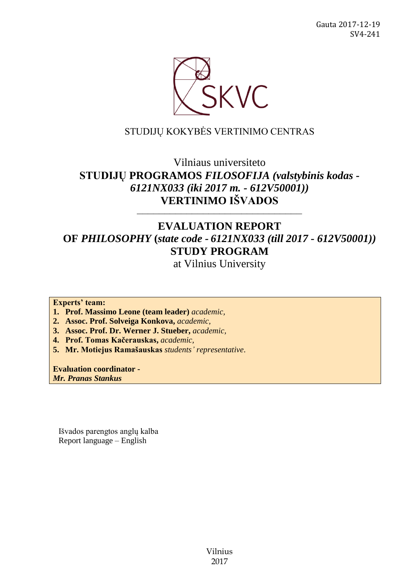

# STUDIJŲ KOKYBĖS VERTINIMO CENTRAS

# Vilniaus universiteto **STUDIJŲ PROGRAMOS** *FILOSOFIJA (valstybinis kodas - 6121NX033 (iki 2017 m. - 612V50001))* **VERTINIMO IŠVADOS**

# **EVALUATION REPORT OF** *PHILOSOPHY* **(***state code - 6121NX033 (till 2017 - 612V50001))* **STUDY PROGRAM**

––––––––––––––––––––––––––––––

at Vilnius University

**Experts' team:** 

**1. Prof. Massimo Leone (team leader)** *academic,*

**2. Assoc. Prof. Solveiga Konkova,** *academic,*

**3. Assoc. Prof. Dr. Werner J. Stueber,** *academic,*

**4. Prof. Tomas Kačerauskas,** *academic,*

**5. Mr. Motiejus Ramašauskas** *students' representative*.

**Evaluation coordinator -**

*Mr. Pranas Stankus*

Išvados parengtos anglų kalba Report language – English

> Vilnius 2017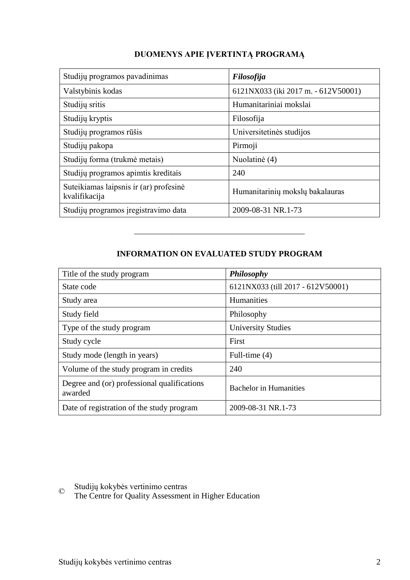| Studijų programos pavadinimas                           | Filosofija                          |
|---------------------------------------------------------|-------------------------------------|
| Valstybinis kodas                                       | 6121NX033 (iki 2017 m. - 612V50001) |
| Studijų sritis                                          | Humanitariniai mokslai              |
| Studijų kryptis                                         | Filosofija                          |
| Studijų programos rūšis                                 | Universitetinės studijos            |
| Studijų pakopa                                          | Pirmoji                             |
| Studijų forma (trukmė metais)                           | Nuolatinė (4)                       |
| Studijų programos apimtis kreditais                     | 240                                 |
| Suteikiamas laipsnis ir (ar) profesinė<br>kvalifikacija | Humanitarinių mokslų bakalauras     |
| Studijų programos įregistravimo data                    | 2009-08-31 NR.1-73                  |

# **DUOMENYS APIE ĮVERTINTĄ PROGRAMĄ**

# **INFORMATION ON EVALUATED STUDY PROGRAM**

–––––––––––––––––––––––––––––––

| Title of the study program                             | Philosophy                        |
|--------------------------------------------------------|-----------------------------------|
| State code                                             | 6121NX033 (till 2017 - 612V50001) |
| Study area                                             | Humanities                        |
| Study field                                            | Philosophy                        |
| Type of the study program                              | <b>University Studies</b>         |
| Study cycle                                            | First                             |
| Study mode (length in years)                           | Full-time $(4)$                   |
| Volume of the study program in credits                 | 240                               |
| Degree and (or) professional qualifications<br>awarded | <b>Bachelor</b> in Humanities     |
| Date of registration of the study program              | 2009-08-31 NR.1-73                |

© Studijų kokybės vertinimo centras

The Centre for Quality Assessment in Higher Education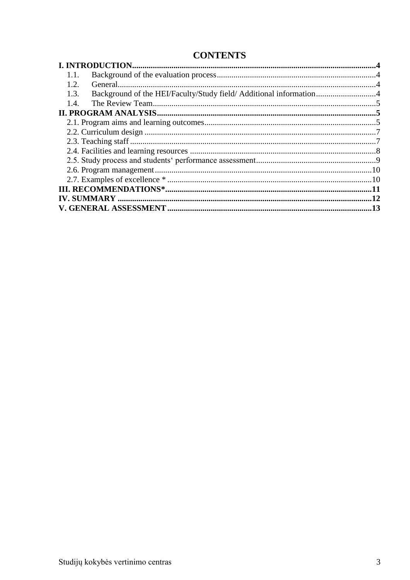# **CONTENTS**

| 1.1.                                                                       |  |
|----------------------------------------------------------------------------|--|
| 1.2.                                                                       |  |
| Background of the HEI/Faculty/Study field/ Additional information4<br>1.3. |  |
| 1.4.                                                                       |  |
|                                                                            |  |
|                                                                            |  |
|                                                                            |  |
|                                                                            |  |
|                                                                            |  |
|                                                                            |  |
|                                                                            |  |
|                                                                            |  |
|                                                                            |  |
|                                                                            |  |
|                                                                            |  |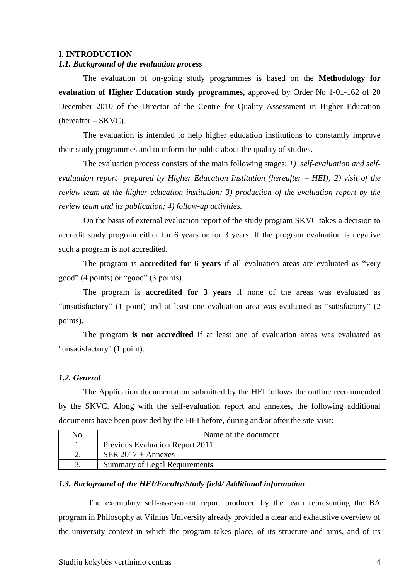#### <span id="page-3-0"></span>**I. INTRODUCTION**

## <span id="page-3-1"></span>*1.1. Background of the evaluation process*

The evaluation of on-going study programmes is based on the **Methodology for evaluation of Higher Education study programmes,** approved by Order No 1-01-162 of 20 December 2010 of the Director of the Centre for Quality Assessment in Higher Education (hereafter – SKVC).

The evaluation is intended to help higher education institutions to constantly improve their study programmes and to inform the public about the quality of studies.

The evaluation process consists of the main following stages: *1) self-evaluation and selfevaluation report prepared by Higher Education Institution (hereafter – HEI); 2) visit of the review team at the higher education institution; 3) production of the evaluation report by the review team and its publication; 4) follow-up activities.* 

On the basis of external evaluation report of the study program SKVC takes a decision to accredit study program either for 6 years or for 3 years. If the program evaluation is negative such a program is not accredited.

The program is **accredited for 6 years** if all evaluation areas are evaluated as "very good" (4 points) or "good" (3 points).

The program is **accredited for 3 years** if none of the areas was evaluated as "unsatisfactory" (1 point) and at least one evaluation area was evaluated as "satisfactory" (2 points).

The program **is not accredited** if at least one of evaluation areas was evaluated as "unsatisfactory" (1 point).

#### <span id="page-3-2"></span>*1.2. General*

The Application documentation submitted by the HEI follows the outline recommended by the SKVC. Along with the self-evaluation report and annexes, the following additional documents have been provided by the HEI before, during and/or after the site-visit:

| N <sub>0</sub> . | Name of the document                   |
|------------------|----------------------------------------|
|                  | <b>Previous Evaluation Report 2011</b> |
|                  | SER $2017 +$ Annexes                   |
| J.               | <b>Summary of Legal Requirements</b>   |

#### <span id="page-3-3"></span>*1.3. Background of the HEI/Faculty/Study field/ Additional information*

The exemplary self-assessment report produced by the team representing the BA program in Philosophy at Vilnius University already provided a clear and exhaustive overview of the university context in which the program takes place, of its structure and aims, and of its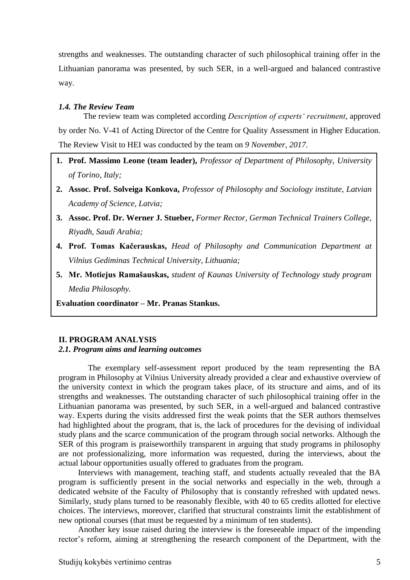strengths and weaknesses. The outstanding character of such philosophical training offer in the Lithuanian panorama was presented, by such SER, in a well-argued and balanced contrastive way.

#### <span id="page-4-0"></span>*1.4. The Review Team*

The review team was completed according *Description of experts' recruitment*, approved by order No. V-41 of Acting Director of the Centre for Quality Assessment in Higher Education. The Review Visit to HEI was conducted by the team on *9 November, 2017.*

- **1. Prof. Massimo Leone (team leader),** *Professor of Department of Philosophy, University of Torino, Italy;*
- **2. Assoc. Prof. Solveiga Konkova,** *Professor of Philosophy and Sociology institute, Latvian Academy of Science, Latvia;*
- **3. Assoc. Prof. Dr. Werner J. Stueber,** *Former Rector, German Technical Trainers College, Riyadh, Saudi Arabia;*
- **4. Prof. Tomas Kačerauskas,** *Head of Philosophy and Communication Department at Vilnius Gediminas Technical University, Lithuania;*
- <span id="page-4-1"></span>**5. Mr. Motiejus Ramašauskas,** *student of Kaunas University of Technology study program Media Philosophy.*

**Evaluation coordinator – Mr. Pranas Stankus.**

#### **II. PROGRAM ANALYSIS**

#### <span id="page-4-2"></span>*2.1. Program aims and learning outcomes*

The exemplary self-assessment report produced by the team representing the BA program in Philosophy at Vilnius University already provided a clear and exhaustive overview of the university context in which the program takes place, of its structure and aims, and of its strengths and weaknesses. The outstanding character of such philosophical training offer in the Lithuanian panorama was presented, by such SER, in a well-argued and balanced contrastive way. Experts during the visits addressed first the weak points that the SER authors themselves had highlighted about the program, that is, the lack of procedures for the devising of individual study plans and the scarce communication of the program through social networks. Although the SER of this program is praiseworthily transparent in arguing that study programs in philosophy are not professionalizing, more information was requested, during the interviews, about the actual labour opportunities usually offered to graduates from the program.

Interviews with management, teaching staff, and students actually revealed that the BA program is sufficiently present in the social networks and especially in the web, through a dedicated website of the Faculty of Philosophy that is constantly refreshed with updated news. Similarly, study plans turned to be reasonably flexible, with 40 to 65 credits allotted for elective choices. The interviews, moreover, clarified that structural constraints limit the establishment of new optional courses (that must be requested by a minimum of ten students).

Another key issue raised during the interview is the foreseeable impact of the impending rector's reform, aiming at strengthening the research component of the Department, with the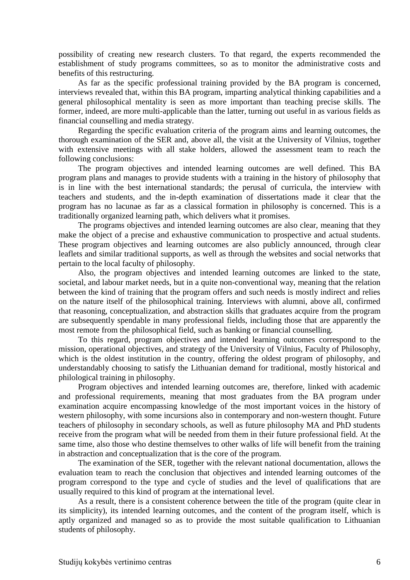possibility of creating new research clusters. To that regard, the experts recommended the establishment of study programs committees, so as to monitor the administrative costs and benefits of this restructuring.

As far as the specific professional training provided by the BA program is concerned, interviews revealed that, within this BA program, imparting analytical thinking capabilities and a general philosophical mentality is seen as more important than teaching precise skills. The former, indeed, are more multi-applicable than the latter, turning out useful in as various fields as financial counselling and media strategy.

Regarding the specific evaluation criteria of the program aims and learning outcomes, the thorough examination of the SER and, above all, the visit at the University of Vilnius, together with extensive meetings with all stake holders, allowed the assessment team to reach the following conclusions:

The program objectives and intended learning outcomes are well defined. This BA program plans and manages to provide students with a training in the history of philosophy that is in line with the best international standards; the perusal of curricula, the interview with teachers and students, and the in-depth examination of dissertations made it clear that the program has no lacunae as far as a classical formation in philosophy is concerned. This is a traditionally organized learning path, which delivers what it promises.

The programs objectives and intended learning outcomes are also clear, meaning that they make the object of a precise and exhaustive communication to prospective and actual students. These program objectives and learning outcomes are also publicly announced, through clear leaflets and similar traditional supports, as well as through the websites and social networks that pertain to the local faculty of philosophy.

Also, the program objectives and intended learning outcomes are linked to the state, societal, and labour market needs, but in a quite non-conventional way, meaning that the relation between the kind of training that the program offers and such needs is mostly indirect and relies on the nature itself of the philosophical training. Interviews with alumni, above all, confirmed that reasoning, conceptualization, and abstraction skills that graduates acquire from the program are subsequently spendable in many professional fields, including those that are apparently the most remote from the philosophical field, such as banking or financial counselling.

To this regard, program objectives and intended learning outcomes correspond to the mission, operational objectives, and strategy of the University of Vilnius, Faculty of Philosophy, which is the oldest institution in the country, offering the oldest program of philosophy, and understandably choosing to satisfy the Lithuanian demand for traditional, mostly historical and philological training in philosophy.

Program objectives and intended learning outcomes are, therefore, linked with academic and professional requirements, meaning that most graduates from the BA program under examination acquire encompassing knowledge of the most important voices in the history of western philosophy, with some incursions also in contemporary and non-western thought. Future teachers of philosophy in secondary schools, as well as future philosophy MA and PhD students receive from the program what will be needed from them in their future professional field. At the same time, also those who destine themselves to other walks of life will benefit from the training in abstraction and conceptualization that is the core of the program.

The examination of the SER, together with the relevant national documentation, allows the evaluation team to reach the conclusion that objectives and intended learning outcomes of the program correspond to the type and cycle of studies and the level of qualifications that are usually required to this kind of program at the international level.

As a result, there is a consistent coherence between the title of the program (quite clear in its simplicity), its intended learning outcomes, and the content of the program itself, which is aptly organized and managed so as to provide the most suitable qualification to Lithuanian students of philosophy.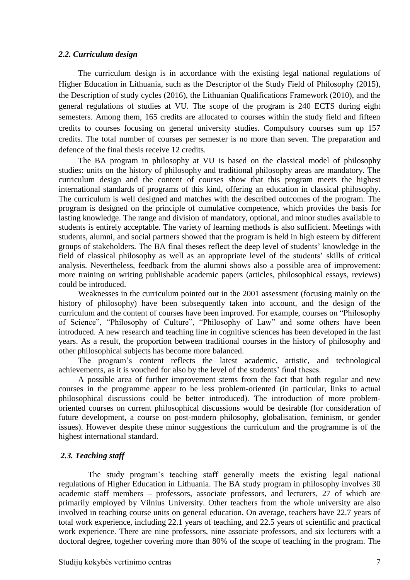#### <span id="page-6-0"></span>*2.2. Curriculum design*

The curriculum design is in accordance with the existing legal national regulations of Higher Education in Lithuania, such as the Descriptor of the Study Field of Philosophy (2015), the Description of study cycles (2016), the Lithuanian Qualifications Framework (2010), and the general regulations of studies at VU. The scope of the program is 240 ECTS during eight semesters. Among them, 165 credits are allocated to courses within the study field and fifteen credits to courses focusing on general university studies. Compulsory courses sum up 157 credits. The total number of courses per semester is no more than seven. The preparation and defence of the final thesis receive 12 credits.

The BA program in philosophy at VU is based on the classical model of philosophy studies: units on the history of philosophy and traditional philosophy areas are mandatory. The curriculum design and the content of courses show that this program meets the highest international standards of programs of this kind, offering an education in classical philosophy. The curriculum is well designed and matches with the described outcomes of the program. The program is designed on the principle of cumulative competence, which provides the basis for lasting knowledge. The range and division of mandatory, optional, and minor studies available to students is entirely acceptable. The variety of learning methods is also sufficient. Meetings with students, alumni, and social partners showed that the program is held in high esteem by different groups of stakeholders. The BA final theses reflect the deep level of students' knowledge in the field of classical philosophy as well as an appropriate level of the students' skills of critical analysis. Nevertheless, feedback from the alumni shows also a possible area of improvement: more training on writing publishable academic papers (articles, philosophical essays, reviews) could be introduced.

Weaknesses in the curriculum pointed out in the 2001 assessment (focusing mainly on the history of philosophy) have been subsequently taken into account, and the design of the curriculum and the content of courses have been improved. For example, courses on "Philosophy of Science", "Philosophy of Culture", "Philosophy of Law" and some others have been introduced. A new research and teaching line in cognitive sciences has been developed in the last years. As a result, the proportion between traditional courses in the history of philosophy and other philosophical subjects has become more balanced.

The program's content reflects the latest academic, artistic, and technological achievements, as it is vouched for also by the level of the students' final theses.

A possible area of further improvement stems from the fact that both regular and new courses in the programme appear to be less problem-oriented (in particular, links to actual philosophical discussions could be better introduced). The introduction of more problemoriented courses on current philosophical discussions would be desirable (for consideration of future development, a course on post-modern philosophy, globalisation, feminism, or gender issues). However despite these minor suggestions the curriculum and the programme is of the highest international standard.

#### <span id="page-6-1"></span>*2.3. Teaching staff*

The study program's teaching staff generally meets the existing legal national regulations of Higher Education in Lithuania. The BA study program in philosophy involves 30 academic staff members – professors, associate professors, and lecturers, 27 of which are primarily employed by Vilnius University. Other teachers from the whole university are also involved in teaching course units on general education. On average, teachers have 22.7 years of total work experience, including 22.1 years of teaching, and 22.5 years of scientific and practical work experience. There are nine professors, nine associate professors, and six lecturers with a doctoral degree, together covering more than 80% of the scope of teaching in the program. The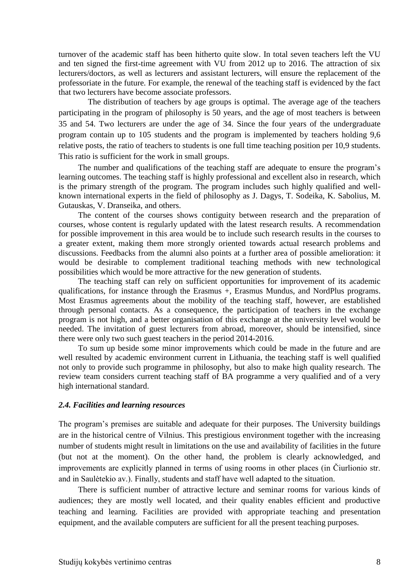turnover of the academic staff has been hitherto quite slow. In total seven teachers left the VU and ten signed the first-time agreement with VU from 2012 up to 2016. The attraction of six lecturers/doctors, as well as lecturers and assistant lecturers, will ensure the replacement of the professoriate in the future. For example, the renewal of the teaching staff is evidenced by the fact that two lecturers have become associate professors.

The distribution of teachers by age groups is optimal. The average age of the teachers participating in the program of philosophy is 50 years, and the age of most teachers is between 35 and 54. Two lecturers are under the age of 34. Since the four years of the undergraduate program contain up to 105 students and the program is implemented by teachers holding 9,6 relative posts, the ratio of teachers to students is one full time teaching position per 10,9 students. This ratio is sufficient for the work in small groups.

The number and qualifications of the teaching staff are adequate to ensure the program's learning outcomes. The teaching staff is highly professional and excellent also in research, which is the primary strength of the program. The program includes such highly qualified and wellknown international experts in the field of philosophy as J. Dagys, T. Sodeika, K. Sabolius, M. Gutauskas, V. Dranseika, and others.

The content of the courses shows contiguity between research and the preparation of courses, whose content is regularly updated with the latest research results. A recommendation for possible improvement in this area would be to include such research results in the courses to a greater extent, making them more strongly oriented towards actual research problems and discussions. Feedbacks from the alumni also points at a further area of possible amelioration: it would be desirable to complement traditional teaching methods with new technological possibilities which would be more attractive for the new generation of students.

The teaching staff can rely on sufficient opportunities for improvement of its academic qualifications, for instance through the Erasmus +, Erasmus Mundus, and NordPlus programs. Most Erasmus agreements about the mobility of the teaching staff, however, are established through personal contacts. As a consequence, the participation of teachers in the exchange program is not high, and a better organisation of this exchange at the university level would be needed. The invitation of guest lecturers from abroad, moreover, should be intensified, since there were only two such guest teachers in the period 2014-2016.

To sum up beside some minor improvements which could be made in the future and are well resulted by academic environment current in Lithuania, the teaching staff is well qualified not only to provide such programme in philosophy, but also to make high quality research. The review team considers current teaching staff of BA programme a very qualified and of a very high international standard.

#### <span id="page-7-0"></span>*2.4. Facilities and learning resources*

The program's premises are suitable and adequate for their purposes. The University buildings are in the historical centre of Vilnius. This prestigious environment together with the increasing number of students might result in limitations on the use and availability of facilities in the future (but not at the moment). On the other hand, the problem is clearly acknowledged, and improvements are explicitly planned in terms of using rooms in other places (in Čiurlionio str. and in Saulėtekio av.). Finally, students and staff have well adapted to the situation.

There is sufficient number of attractive lecture and seminar rooms for various kinds of audiences; they are mostly well located, and their quality enables efficient and productive teaching and learning. Facilities are provided with appropriate teaching and presentation equipment, and the available computers are sufficient for all the present teaching purposes.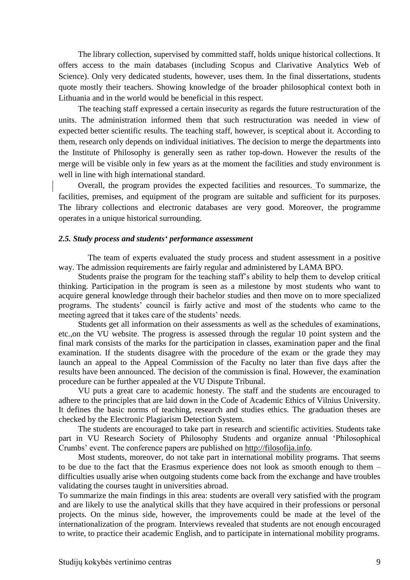The library collection, supervised by committed staff, holds unique historical collections. It offers access to the main databases (including Scopus and Clarivative Analytics Web of Science). Only very dedicated students, however, uses them. In the final dissertations, students quote mostly their teachers. Showing knowledge of the broader philosophical context both in Lithuania and in the world would be beneficial in this respect.

The teaching staff expressed a certain insecurity as regards the future restructuration of the units. The administration informed them that such restructuration was needed in view of expected better scientific results. The teaching staff, however, is sceptical about it. According to them, research only depends on individual initiatives. The decision to merge the departments into the Institute of Philosophy is generally seen as rather top-down. However the results of the merge will be visible only in few years as at the moment the facilities and study environment is well in line with high international standard.

Overall, the program provides the expected facilities and resources. To summarize, the facilities, premises, and equipment of the program are suitable and sufficient for its purposes. The library collections and electronic databases are very good. Moreover, the programme operates in a unique historical surrounding.

#### <span id="page-8-0"></span>*2.5. Study process and students' performance assessment*

The team of experts evaluated the study process and student assessment in a positive way. The admission requirements are fairly regular and administered by LAMA BPO.

Students praise the program for the teaching staff's ability to help them to develop critical thinking. Participation in the program is seen as a milestone by most students who want to acquire general knowledge through their bachelor studies and then move on to more specialized programs. The students' council is fairly active and most of the students who came to the meeting agreed that it takes care of the students' needs.

Students get all information on their assessments as well as the schedules of examinations, etc.,on the VU website. The progress is assessed through the regular 10 point system and the final mark consists of the marks for the participation in classes, examination paper and the final examination. If the students disagree with the procedure of the exam or the grade they may launch an appeal to the Appeal Commission of the Faculty no later than five days after the results have been announced. The decision of the commission is final. However, the examination procedure can be further appealed at the VU Dispute Tribunal.

VU puts a great care to academic honesty. The staff and the students are encouraged to adhere to the principles that are laid down in the Code of Academic Ethics of Vilnius University. It defines the basic norms of teaching, research and studies ethics. The graduation theses are checked by the Electronic Plagiarism Detection System.

The students are encouraged to take part in research and scientific activities. Students take part in VU Research Society of Philosophy Students and organize annual 'Philosophical Crumbs' event. The conference papers are published on [http://filosofija.info.](http://filosofija.info/)

Most students, moreover, do not take part in international mobility programs. That seems to be due to the fact that the Erasmus experience does not look as smooth enough to them – difficulties usually arise when outgoing students come back from the exchange and have troubles validating the courses taught in universities abroad.

To summarize the main findings in this area: students are overall very satisfied with the program and are likely to use the analytical skills that they have acquired in their professions or personal projects. On the minus side, however, the improvements could be made at the level of the internationalization of the program. Interviews revealed that students are not enough encouraged to write, to practice their academic English, and to participate in international mobility programs.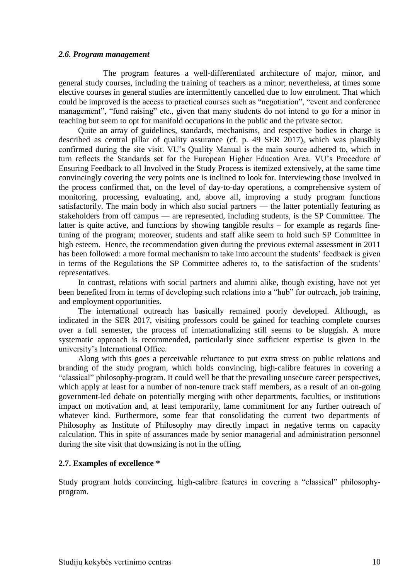#### <span id="page-9-0"></span>*2.6. Program management*

The program features a well-differentiated architecture of major, minor, and general study courses, including the training of teachers as a minor; nevertheless, at times some elective courses in general studies are intermittently cancelled due to low enrolment. That which could be improved is the access to practical courses such as "negotiation", "event and conference management", "fund raising" etc., given that many students do not intend to go for a minor in teaching but seem to opt for manifold occupations in the public and the private sector.

Quite an array of guidelines, standards, mechanisms, and respective bodies in charge is described as central pillar of quality assurance (cf. p. 49 SER 2017), which was plausibly confirmed during the site visit. VU's Quality Manual is the main source adhered to, which in turn reflects the Standards set for the European Higher Education Area. VU's Procedure of Ensuring Feedback to all Involved in the Study Process is itemized extensively, at the same time convincingly covering the very points one is inclined to look for. Interviewing those involved in the process confirmed that, on the level of day-to-day operations, a comprehensive system of monitoring, processing, evaluating, and, above all, improving a study program functions satisfactorily. The main body in which also social partners — the latter potentially featuring as stakeholders from off campus — are represented, including students, is the SP Committee. The latter is quite active, and functions by showing tangible results – for example as regards finetuning of the program; moreover, students and staff alike seem to hold such SP Committee in high esteem. Hence, the recommendation given during the previous external assessment in 2011 has been followed: a more formal mechanism to take into account the students' feedback is given in terms of the Regulations the SP Committee adheres to, to the satisfaction of the students' representatives.

In contrast, relations with social partners and alumni alike, though existing, have not yet been benefited from in terms of developing such relations into a "hub" for outreach, job training, and employment opportunities.

The international outreach has basically remained poorly developed. Although, as indicated in the SER 2017, visiting professors could be gained for teaching complete courses over a full semester, the process of internationalizing still seems to be sluggish. A more systematic approach is recommended, particularly since sufficient expertise is given in the university's International Office.

Along with this goes a perceivable reluctance to put extra stress on public relations and branding of the study program, which holds convincing, high-calibre features in covering a "classical" philosophy-program. It could well be that the prevailing unsecure career perspectives, which apply at least for a number of non-tenure track staff members, as a result of an on-going government-led debate on potentially merging with other departments, faculties, or institutions impact on motivation and, at least temporarily, lame commitment for any further outreach of whatever kind. Furthermore, some fear that consolidating the current two departments of Philosophy as Institute of Philosophy may directly impact in negative terms on capacity calculation. This in spite of assurances made by senior managerial and administration personnel during the site visit that downsizing is not in the offing.

#### <span id="page-9-1"></span>**2.7. Examples of excellence \***

Study program holds convincing, high-calibre features in covering a "classical" philosophyprogram.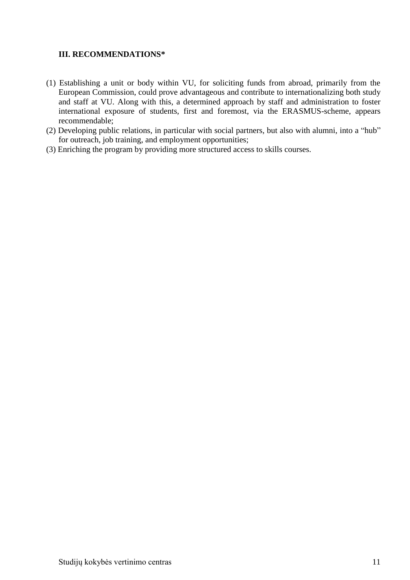## <span id="page-10-0"></span>**III. RECOMMENDATIONS\***

- (1) Establishing a unit or body within VU, for soliciting funds from abroad, primarily from the European Commission, could prove advantageous and contribute to internationalizing both study and staff at VU. Along with this, a determined approach by staff and administration to foster international exposure of students, first and foremost, via the ERASMUS-scheme, appears recommendable;
- (2) Developing public relations, in particular with social partners, but also with alumni, into a "hub" for outreach, job training, and employment opportunities;
- (3) Enriching the program by providing more structured access to skills courses.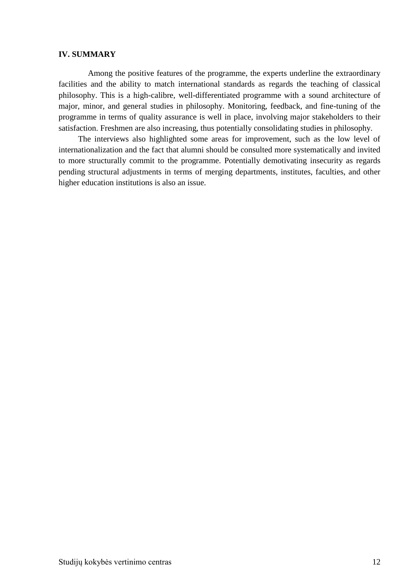#### <span id="page-11-0"></span>**IV. SUMMARY**

Among the positive features of the programme, the experts underline the extraordinary facilities and the ability to match international standards as regards the teaching of classical philosophy. This is a high-calibre, well-differentiated programme with a sound architecture of major, minor, and general studies in philosophy. Monitoring, feedback, and fine-tuning of the programme in terms of quality assurance is well in place, involving major stakeholders to their satisfaction. Freshmen are also increasing, thus potentially consolidating studies in philosophy.

The interviews also highlighted some areas for improvement, such as the low level of internationalization and the fact that alumni should be consulted more systematically and invited to more structurally commit to the programme. Potentially demotivating insecurity as regards pending structural adjustments in terms of merging departments, institutes, faculties, and other higher education institutions is also an issue.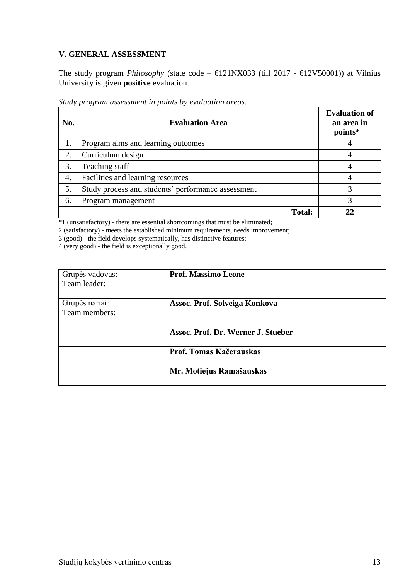# <span id="page-12-0"></span>**V. GENERAL ASSESSMENT**

The study program *Philosophy* (state code – 6121NX033 (till 2017 - 612V50001)) at Vilnius University is given **positive** evaluation.

| No. | <b>Evaluation Area</b>                             | <b>Evaluation of</b><br>an area in<br>points* |
|-----|----------------------------------------------------|-----------------------------------------------|
| 1.  | Program aims and learning outcomes                 |                                               |
| 2.  | Curriculum design                                  |                                               |
| 3.  | Teaching staff                                     |                                               |
| 4.  | Facilities and learning resources                  |                                               |
| 5.  | Study process and students' performance assessment | 3                                             |
| 6.  | Program management                                 | 3                                             |
|     | <b>Total:</b>                                      |                                               |

*Study program assessment in points by evaluation areas*.

\*1 (unsatisfactory) - there are essential shortcomings that must be eliminated;

2 (satisfactory) - meets the established minimum requirements, needs improvement;

3 (good) - the field develops systematically, has distinctive features;

4 (very good) - the field is exceptionally good.

| Grupės vadovas:                 | <b>Prof. Massimo Leone</b>         |
|---------------------------------|------------------------------------|
| Team leader:                    |                                    |
| Grupės nariai:<br>Team members: | Assoc. Prof. Solveiga Konkova      |
|                                 | Assoc. Prof. Dr. Werner J. Stueber |
|                                 | Prof. Tomas Kačerauskas            |
|                                 | Mr. Motiejus Ramašauskas           |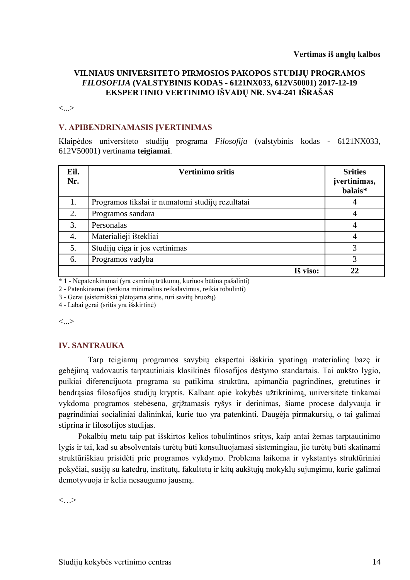### **VILNIAUS UNIVERSITETO PIRMOSIOS PAKOPOS STUDIJŲ PROGRAMOS**  *FILOSOFIJA* **(VALSTYBINIS KODAS - 6121NX033, 612V50001) 2017-12-19 EKSPERTINIO VERTINIMO IŠVADŲ NR. SV4-241 IŠRAŠAS**

<...>

#### **V. APIBENDRINAMASIS ĮVERTINIMAS**

Klaipėdos universiteto studijų programa *Filosofija* (valstybinis kodas - 6121NX033, 612V50001) vertinama **teigiamai**.

| Eil.<br>Nr. | <b>Vertinimo sritis</b>                          | <b>Srities</b><br>įvertinimas,<br>balais* |
|-------------|--------------------------------------------------|-------------------------------------------|
| 1.          | Programos tikslai ir numatomi studijų rezultatai | 4                                         |
| 2.          | Programos sandara                                | 4                                         |
| 3.          | Personalas                                       | 4                                         |
| 4.          | Materialieji ištekliai                           | 4                                         |
| 5.          | Studijų eiga ir jos vertinimas                   | 3                                         |
| 6.          | Programos vadyba                                 | 3                                         |
|             | Iš viso:                                         | 22                                        |

\* 1 - Nepatenkinamai (yra esminių trūkumų, kuriuos būtina pašalinti)

2 - Patenkinamai (tenkina minimalius reikalavimus, reikia tobulinti)

3 - Gerai (sistemiškai plėtojama sritis, turi savitų bruožų)

4 - Labai gerai (sritis yra išskirtinė)

<...>

#### **IV. SANTRAUKA**

Tarp teigiamų programos savybių ekspertai išskiria ypatingą materialinę bazę ir gebėjimą vadovautis tarptautiniais klasikinės filosofijos dėstymo standartais. Tai aukšto lygio, puikiai diferencijuota programa su patikima struktūra, apimančia pagrindines, gretutines ir bendrąsias filosofijos studijų kryptis. Kalbant apie kokybės užtikrinimą, universitete tinkamai vykdoma programos stebėsena, grįžtamasis ryšys ir derinimas, šiame procese dalyvauja ir pagrindiniai socialiniai dalininkai, kurie tuo yra patenkinti. Daugėja pirmakursių, o tai galimai stiprina ir filosofijos studijas.

Pokalbių metu taip pat išskirtos kelios tobulintinos sritys, kaip antai žemas tarptautinimo lygis ir tai, kad su absolventais turėtų būti konsultuojamasi sistemingiau, jie turėtų būti skatinami struktūriškiau prisidėti prie programos vykdymo. Problema laikoma ir vykstantys struktūriniai pokyčiai, susiję su katedrų, institutų, fakultetų ir kitų aukštųjų mokyklų sujungimu, kurie galimai demotyvuoja ir kelia nesaugumo jausmą.

 $\langle \cdot, \cdot \rangle$